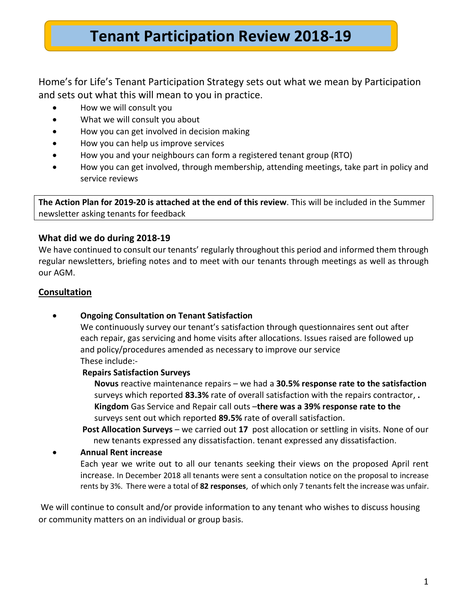# **Tenant Participation Review 2018-19**

#### Home's for Life's Tenant Participation Strategy sets out what we mean by Participation and sets out what this will mean to you in practice.

- How we will consult you
- What we will consult you about
- How you can get involved in decision making
- How you can help us improve services
- How you and your neighbours can form a registered tenant group (RTO)
- How you can get involved, through membership, attending meetings, take part in policy and service reviews

**The Action Plan for 2019-20 is attached at the end of this review**. This will be included in the Summer newsletter asking tenants for feedback

#### **What did we do during 2018-19**

We have continued to consult our tenants' regularly throughout this period and informed them through regular newsletters, briefing notes and to meet with our tenants through meetings as well as through our AGM.

#### **Consultation**

• **Ongoing Consultation on Tenant Satisfaction**

We continuously survey our tenant's satisfaction through questionnaires sent out after each repair, gas servicing and home visits after allocations. Issues raised are followed up and policy/procedures amended as necessary to improve our service These include:-

#### **Repairs Satisfaction Surveys**

**Novus** reactive maintenance repairs – we had a **30.5% response rate to the satisfaction**  surveys which reported **83.3%** rate of overall satisfaction with the repairs contractor, **. Kingdom** Gas Service and Repair call outs –**there was a 39% response rate to the**  surveys sent out which reported **89.5%** rate of overall satisfaction.

**Post Allocation Surveys** – we carried out **17** post allocation or settling in visits. None of our new tenants expressed any dissatisfaction. tenant expressed any dissatisfaction.

#### • **Annual Rent increase**

Each year we write out to all our tenants seeking their views on the proposed April rent increase. In December 2018 all tenants were sent a consultation notice on the proposal to increase rents by 3%. There were a total of **82 responses**, of which only 7 tenants felt the increase was unfair.

We will continue to consult and/or provide information to any tenant who wishes to discuss housing or community matters on an individual or group basis.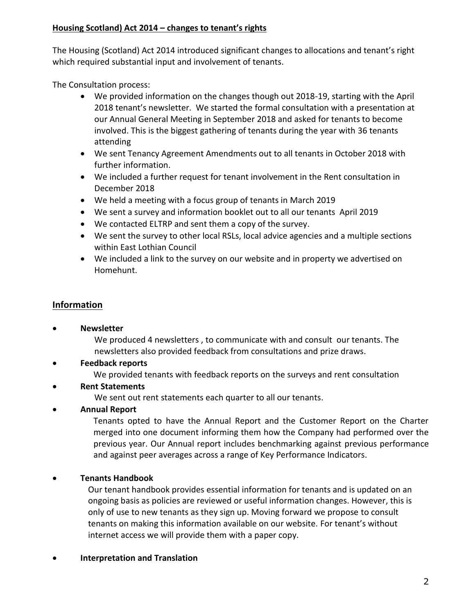#### **Housing Scotland) Act 2014 – changes to tenant's rights**

The Housing (Scotland) Act 2014 introduced significant changes to allocations and tenant's right which required substantial input and involvement of tenants.

The Consultation process:

- We provided information on the changes though out 2018-19, starting with the April 2018 tenant's newsletter. We started the formal consultation with a presentation at our Annual General Meeting in September 2018 and asked for tenants to become involved. This is the biggest gathering of tenants during the year with 36 tenants attending
- We sent Tenancy Agreement Amendments out to all tenants in October 2018 with further information.
- We included a further request for tenant involvement in the Rent consultation in December 2018
- We held a meeting with a focus group of tenants in March 2019
- We sent a survey and information booklet out to all our tenants April 2019
- We contacted ELTRP and sent them a copy of the survey.
- We sent the survey to other local RSLs, local advice agencies and a multiple sections within East Lothian Council
- We included a link to the survey on our website and in property we advertised on Homehunt.

#### **Information**

#### • **Newsletter**

We produced 4 newsletters , to communicate with and consult our tenants. The newsletters also provided feedback from consultations and prize draws.

• **Feedback reports**

We provided tenants with feedback reports on the surveys and rent consultation

• **Rent Statements**

We sent out rent statements each quarter to all our tenants.

• **Annual Report**

Tenants opted to have the Annual Report and the Customer Report on the Charter merged into one document informing them how the Company had performed over the previous year. Our Annual report includes benchmarking against previous performance and against peer averages across a range of Key Performance Indicators.

#### • **Tenants Handbook**

Our tenant handbook provides essential information for tenants and is updated on an ongoing basis as policies are reviewed or useful information changes. However, this is only of use to new tenants as they sign up. Moving forward we propose to consult tenants on making this information available on our website. For tenant's without internet access we will provide them with a paper copy.

#### • **Interpretation and Translation**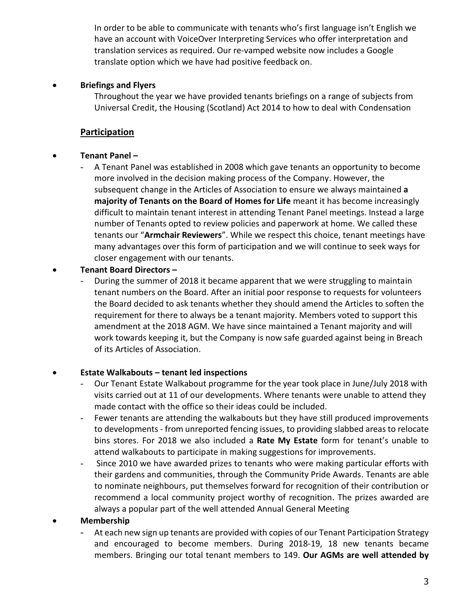In order to be able to communicate with tenants who's first language isn't English we have an account with VoiceOver Interpreting Services who offer interpretation and translation services as required. Our re-vamped website now includes a Google translate option which we have had positive feedback on.

#### • **Briefings and Flyers**

Throughout the year we have provided tenants briefings on a range of subjects from Universal Credit, the Housing (Scotland) Act 2014 to how to deal with Condensation

#### **Participation**

#### • **Tenant Panel –**

- A Tenant Panel was established in 2008 which gave tenants an opportunity to become more involved in the decision making process of the Company. However, the subsequent change in the Articles of Association to ensure we always maintained **a majority of Tenants on the Board of Homes for Life** meant it has become increasingly difficult to maintain tenant interest in attending Tenant Panel meetings. Instead a large number of Tenants opted to review policies and paperwork at home. We called these tenants our "**Armchair Reviewers**". While we respect this choice, tenant meetings have many advantages over this form of participation and we will continue to seek ways for closer engagement with our tenants.

#### • **Tenant Board Directors –**

During the summer of 2018 it became apparent that we were struggling to maintain tenant numbers on the Board. After an initial poor response to requests for volunteers the Board decided to ask tenants whether they should amend the Articles to soften the requirement for there to always be a tenant majority. Members voted to support this amendment at the 2018 AGM. We have since maintained a Tenant majority and will work towards keeping it, but the Company is now safe guarded against being in Breach of its Articles of Association.

#### • **Estate Walkabouts – tenant led inspections**

- Our Tenant Estate Walkabout programme for the year took place in June/July 2018 with visits carried out at 11 of our developments. Where tenants were unable to attend they made contact with the office so their ideas could be included.
- Fewer tenants are attending the walkabouts but they have still produced improvements to developments - from unreported fencing issues, to providing slabbed areas to relocate bins stores. For 2018 we also included a **Rate My Estate** form for tenant's unable to attend walkabouts to participate in making suggestions for improvements.
- Since 2010 we have awarded prizes to tenants who were making particular efforts with their gardens and communities, through the Community Pride Awards. Tenants are able to nominate neighbours, put themselves forward for recognition of their contribution or recommend a local community project worthy of recognition. The prizes awarded are always a popular part of the well attended Annual General Meeting

#### • **Membership**

At each new sign up tenants are provided with copies of our Tenant Participation Strategy and encouraged to become members. During 2018-19, 18 new tenants became members. Bringing our total tenant members to 149. **Our AGMs are well attended by**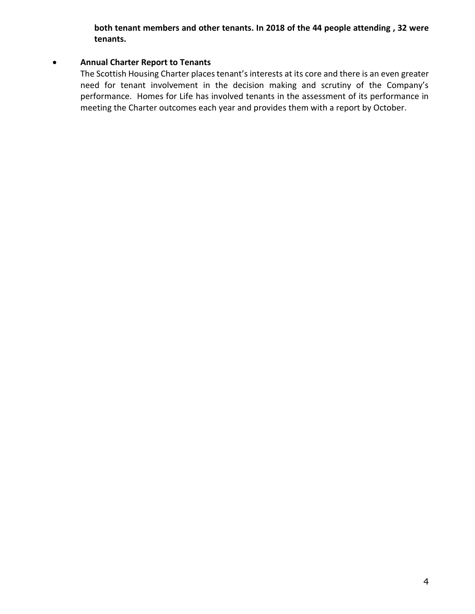**both tenant members and other tenants. In 2018 of the 44 people attending , 32 were tenants.**

#### • **Annual Charter Report to Tenants**

The Scottish Housing Charter places tenant's interests at its core and there is an even greater need for tenant involvement in the decision making and scrutiny of the Company's performance. Homes for Life has involved tenants in the assessment of its performance in meeting the Charter outcomes each year and provides them with a report by October.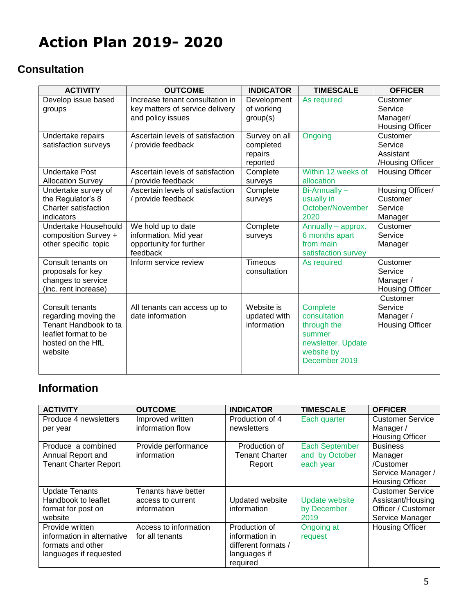# **Action Plan 2019- 2020**

### **Consultation**

| <b>ACTIVITY</b>             | <b>OUTCOME</b>                   | <b>INDICATOR</b> | <b>TIMESCALE</b>    | <b>OFFICER</b>         |
|-----------------------------|----------------------------------|------------------|---------------------|------------------------|
| Develop issue based         | Increase tenant consultation in  | Development      | As required         | Customer               |
| groups                      | key matters of service delivery  | of working       |                     | Service                |
|                             | and policy issues                | group(s)         |                     | Manager/               |
|                             |                                  |                  |                     | <b>Housing Officer</b> |
| Undertake repairs           | Ascertain levels of satisfaction | Survey on all    | Ongoing             | Customer               |
| satisfaction surveys        | / provide feedback               | completed        |                     | Service                |
|                             |                                  | repairs          |                     | Assistant              |
|                             |                                  | reported         |                     | /Housing Officer       |
| <b>Undertake Post</b>       | Ascertain levels of satisfaction | Complete         | Within 12 weeks of  | <b>Housing Officer</b> |
| <b>Allocation Survey</b>    | / provide feedback               | surveys          | allocation          |                        |
| Undertake survey of         | Ascertain levels of satisfaction | Complete         | Bi-Annually-        | Housing Officer/       |
| the Regulator's 8           | / provide feedback               | surveys          | usually in          | Customer               |
| <b>Charter satisfaction</b> |                                  |                  | October/November    | Service                |
| indicators                  |                                  |                  | 2020                | Manager                |
| Undertake Househould        | We hold up to date               | Complete         | Annually - approx.  | Customer               |
| composition Survey +        | information. Mid year            | surveys          | 6 months apart      | Service                |
| other specific topic        | opportunity for further          |                  | from main           | Manager                |
|                             | feedback                         |                  | satisfaction survey |                        |
| Consult tenants on          | Inform service review            | Timeous          | As required         | Customer               |
| proposals for key           |                                  | consultation     |                     | Service                |
| changes to service          |                                  |                  |                     | Manager /              |
| (inc. rent increase)        |                                  |                  |                     | <b>Housing Officer</b> |
|                             |                                  |                  |                     | Customer               |
| Consult tenants             | All tenants can access up to     | Website is       | Complete            | Service                |
| regarding moving the        | date information                 | updated with     | consultation        | Manager /              |
| Tenant Handbook to ta       |                                  | information      | through the         | <b>Housing Officer</b> |
| leaflet format to be        |                                  |                  | summer              |                        |
| hosted on the HfL           |                                  |                  | newsletter. Update  |                        |
| website                     |                                  |                  | website by          |                        |
|                             |                                  |                  | December 2019       |                        |
|                             |                                  |                  |                     |                        |

## **Information**

| <b>ACTIVITY</b>              | <b>OUTCOME</b>        | <b>INDICATOR</b>       | <b>TIMESCALE</b>      | <b>OFFICER</b>          |
|------------------------------|-----------------------|------------------------|-----------------------|-------------------------|
| Produce 4 newsletters        | Improved written      | Production of 4        | Each quarter          | <b>Customer Service</b> |
| per year                     | information flow      | newsletters            |                       | Manager /               |
|                              |                       |                        |                       | <b>Housing Officer</b>  |
| Produce a combined           | Provide performance   | Production of          | <b>Each September</b> | <b>Business</b>         |
| Annual Report and            | information           | <b>Tenant Charter</b>  | and by October        | Manager                 |
| <b>Tenant Charter Report</b> |                       | Report                 | each year             | /Customer               |
|                              |                       |                        |                       | Service Manager /       |
|                              |                       |                        |                       | <b>Housing Officer</b>  |
| <b>Update Tenants</b>        | Tenants have better   |                        |                       | <b>Customer Service</b> |
| Handbook to leaflet          | access to current     | <b>Updated website</b> | <b>Update website</b> | Assistant/Housing       |
| format for post on           | information           | information            | by December           | Officer / Customer      |
| website                      |                       |                        | 2019                  | Service Manager         |
| Provide written              | Access to information | Production of          | Ongoing at            | <b>Housing Officer</b>  |
| information in alternative   | for all tenants       | information in         | request               |                         |
| formats and other            |                       | different formats /    |                       |                         |
| languages if requested       |                       | languages if           |                       |                         |
|                              |                       | required               |                       |                         |